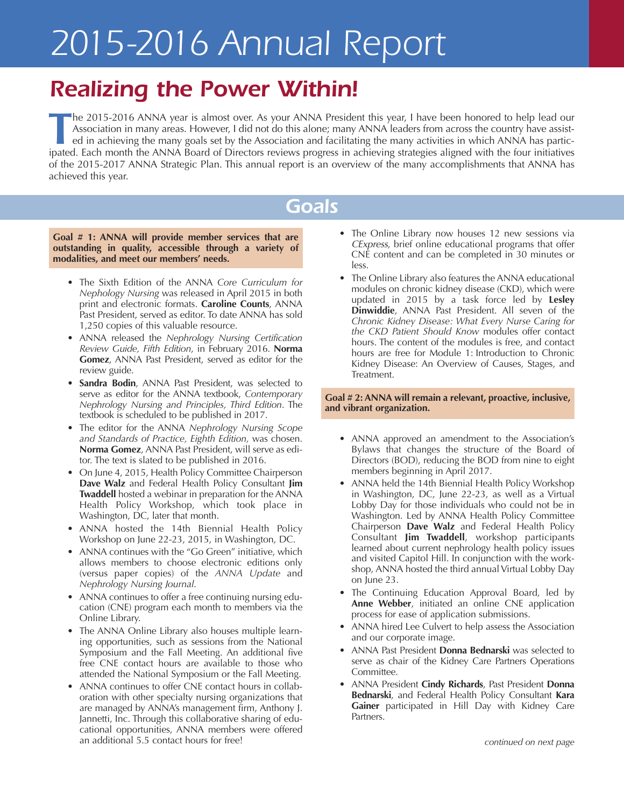## *Realizing the Power Within!*

**T**he 2015-2016 ANNA year is almost over. As your ANNA President this year, <sup>I</sup> have been honored to help lead our Association in many areas. However, I did not do this alone; many ANNA leaders from across the country have assisted in achieving the many goals set by the Association and facilitating the many activities in which ANNA has participated. Each month the ANNA Board of Directors reviews progress in achieving strategies aligned with the four initiatives of the 2015-2017 ANNA Strategic Plan. This annual report is an overview of the many accomplishments that ANNA has achieved this year.

### *Goals*

**Goal # 1: ANNA will provide member services that are outstanding in quality, accessible through a variety of modalities, and meet our members' needs.**

- The Sixth Edition of the ANNA *Core Curriculum for Nephology Nursing* was released in April 2015 in both print and electronic formats. **Caroline Counts**, ANNA Past President, served as editor. To date ANNA has sold 1,250 copies of this valuable resource.
- ANNA released the *Nephrology Nursing Certification Review Guide, Fifth Edition*, in February 2016. **Norma Gomez**, ANNA Past President, served as editor for the review guide.
- **Sandra Bodin**, ANNA Past President, was selected to serve as editor for the ANNA textbook, *Contemporary Nephrology Nursing and Principles, Third Edition*. The textbook is scheduled to be published in 2017.
- The editor for the ANNA *Nephrology Nursing Scope and Standards of Practice, Eighth Edition,* was chosen. **Norma Gomez**, ANNA Past President, will serve as editor. The text is slated to be published in 2016.
- On June 4, 2015, Health Policy Committee Chairperson **Dave Walz** and Federal Health Policy Consultant **Jim Twaddell** hosted a webinar in preparation for the ANNA Health Policy Workshop, which took place in Washington, DC, later that month.
- ANNA hosted the 14th Biennial Health Policy Workshop on June 22-23, 2015, in Washington, DC.
- ANNA continues with the "Go Green" initiative, which allows members to choose electronic editions only (versus paper copies) of the *ANNA Update* and *Nephrology Nursing Journal*.
- ANNA continues to offer a free continuing nursing education (CNE) program each month to members via the Online Library.
- The ANNA Online Library also houses multiple learning opportunities, such as sessions from the National Symposium and the Fall Meeting. An additional five free CNE contact hours are available to those who attended the National Symposium or the Fall Meeting.
- ANNA continues to offer CNE contact hours in collaboration with other specialty nursing organizations that are managed by ANNA's management firm, Anthony J. Jannetti, Inc. Through this collaborative sharing of educational opportunities, ANNA members were offered an additional 5.5 contact hours for free!
- The Online Library now houses 12 new sessions via *CExpress*, brief online educational programs that offer CNE content and can be completed in 30 minutes or less.
- The Online Library also features the ANNA educational modules on chronic kidney disease (CKD), which were updated in 2015 by a task force led by **Lesley Dinwiddie**, ANNA Past President. All seven of the *Chronic Kidney Disease: What Every Nurse Caring for the CKD Patient Should Know* modules offer contact hours. The content of the modules is free, and contact hours are free for Module 1: Introduction to Chronic Kidney Disease: An Overview of Causes, Stages, and Treatment.

**Goal # 2: ANNA will remain a relevant, proactive, inclusive, and vibrant organization.**

- ANNA approved an amendment to the Association's Bylaws that changes the structure of the Board of Directors (BOD), reducing the BOD from nine to eight members beginning in April 2017.
- ANNA held the 14th Biennial Health Policy Workshop in Washington, DC, June 22-23, as well as a Virtual Lobby Day for those individuals who could not be in Washington. Led by ANNA Health Policy Committee Chairperson **Dave Walz** and Federal Health Policy Consultant **Jim Twaddell**, workshop participants learned about current nephrology health policy issues and visited Capitol Hill. In conjunction with the workshop, ANNA hosted the third annual Virtual Lobby Day on June 23.
- The Continuing Education Approval Board, led by **Anne Webber**, initiated an online CNE application process for ease of application submissions.
- ANNA hired Lee Culvert to help assess the Association and our corporate image.
- ANNA Past President **Donna Bednarski** was selected to serve as chair of the Kidney Care Partners Operations Committee.
- ANNA President **Cindy Richards**, Past President **Donna Bednarski**, and Federal Health Policy Consultant **Kara Gainer** participated in Hill Day with Kidney Care Partners.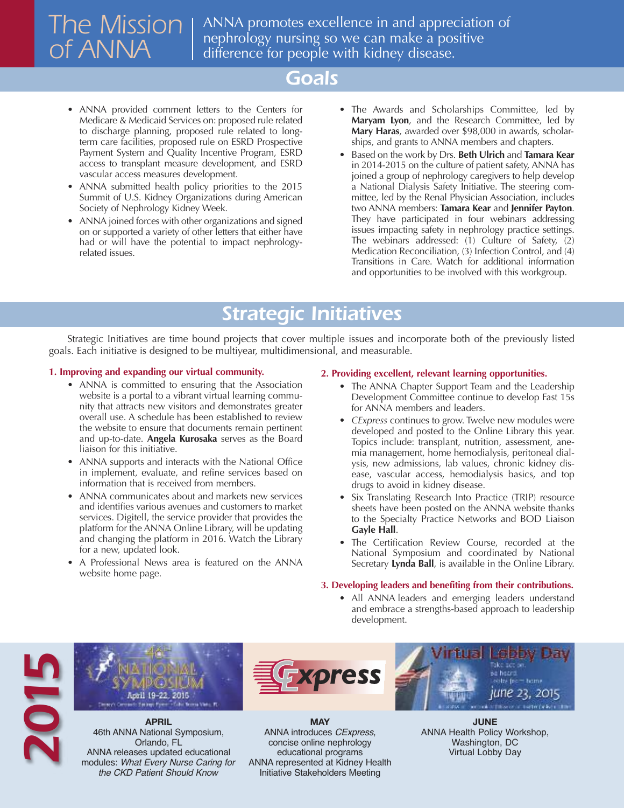# *The Mission of ANNA*

ANNA promotes excellence in and appreciation of nephrology nursing so we can make a positive difference for people with kidney disease.

#### *Goals*

- ANNA provided comment letters to the Centers for Medicare & Medicaid Services on: proposed rule related to discharge planning, proposed rule related to longterm care facilities, proposed rule on ESRD Prospective Payment System and Quality Incentive Program, ESRD access to transplant measure development, and ESRD vascular access measures development.
- ANNA submitted health policy priorities to the 2015 Summit of U.S. Kidney Organizations during American Society of Nephrology Kidney Week.
- ANNA joined forces with other organizations and signed on or supported a variety of other letters that either have had or will have the potential to impact nephrologyrelated issues.
- The Awards and Scholarships Committee, led by **Maryam Lyon**, and the Research Committee, led by **Mary Haras**, awarded over \$98,000 in awards, scholarships, and grants to ANNA members and chapters.
- Based on the work by Drs. **Beth Ulrich** and **Tamara Kear** in 2014-2015 on the culture of patient safety, ANNA has joined a group of nephrology caregivers to help develop a National Dialysis Safety Initiative. The steering committee, led by the Renal Physician Association, includes two ANNA members: **Tamara Kear** and **Jennifer Payton**. They have participated in four webinars addressing issues impacting safety in nephrology practice settings. The webinars addressed: (1) Culture of Safety, (2) Medication Reconciliation, (3) Infection Control, and (4) Transitions in Care. Watch for additional information and opportunities to be involved with this workgroup.

### *Strategic Initiatives*

Strategic Initiatives are time bound projects that cover multiple issues and incorporate both of the previously listed goals. Each initiative is designed to be multiyear, multidimensional, and measurable.

#### **1. Improving and expanding our virtual community.**

- ANNA is committed to ensuring that the Association website is a portal to a vibrant virtual learning community that attracts new visitors and demonstrates greater overall use. A schedule has been established to review the website to ensure that documents remain pertinent and up-to-date. **Angela Kurosaka** serves as the Board liaison for this initiative.
- ANNA supports and interacts with the National Office in implement, evaluate, and refine services based on information that is received from members.
- ANNA communicates about and markets new services and identifies various avenues and customers to market services. Digitell, the service provider that provides the platform for the ANNA Online Library, will be updating and changing the platform in 2016. Watch the Library for a new, updated look.
- A Professional News area is featured on the ANNA website home page.

#### **2. Providing excellent, relevant learning opportunities.**

- The ANNA Chapter Support Team and the Leadership Development Committee continue to develop Fast 15s for ANNA members and leaders.
- *CExpress* continues to grow. Twelve new modules were developed and posted to the Online Library this year. Topics include: transplant, nutrition, assessment, anemia management, home hemodialysis, peritoneal dialysis, new admissions, lab values, chronic kidney disease, vascular access, hemodialysis basics, and top drugs to avoid in kidney disease.
- Six Translating Research Into Practice (TRIP) resource sheets have been posted on the ANNA website thanks to the Specialty Practice Networks and BOD Liaison **Gayle Hall**.
- The Certification Review Course, recorded at the National Symposium and coordinated by National Secretary **Lynda Ball**, is available in the Online Library.

#### **3. Developing leaders and benefiting from their contributions.**

• All ANNA leaders and emerging leaders understand and embrace a strengths-based approach to leadership development.





**april** 46th ANNA National Symposium, Orlando, FL ANNA releases updated educational Orlando, FL<br>
2014 **Concise online nephrology**<br>
2014 **ANNA releases updated educational<br>
2025** *Modules: What Every Nurse Caring for***<br>
2027 ANNA represented at Kidney Health** *the CKD Patient Should Know*



**May** ANNA introduces *CExpress*, concise online nephrology educational programs<br>ANNA represented at Kidney Health Initiative Stakeholders Meeting



**June** ANNA Health Policy Workshop, Washington, DC Virtual Lobby Day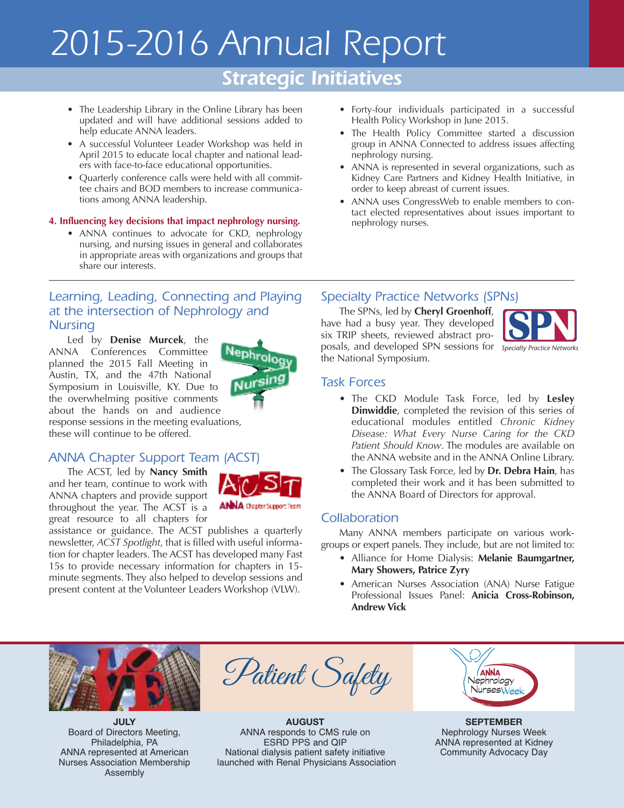### *Strategic Initiatives*

- The Leadership Library in the Online Library has been updated and will have additional sessions added to help educate ANNA leaders.
- A successful Volunteer Leader Workshop was held in April 2015 to educate local chapter and national leaders with face-to-face educational opportunities.
- Quarterly conference calls were held with all committee chairs and BOD members to increase communications among ANNA leadership.

#### **4. Influencing key decisions that impact nephrology nursing.**

• ANNA continues to advocate for CKD, nephrology nursing, and nursing issues in general and collaborates in appropriate areas with organizations and groups that share our interests.

#### *Learning, Leading, Connecting and Playing at the intersection of Nephrology and Nursing*

Led by **Denise Murcek**, the ANNA Conferences Committee planned the 2015 Fall Meeting in Austin, TX, and the 47th National Symposium in Louisville, KY. Due to the overwhelming positive comments about the hands on and audience response sessions in the meeting evaluations, these will continue to be offered.

#### *ANNA Chapter Support Team (ACST)*

The ACST, led by **Nancy Smith** and her team, continue to work with ANNA chapters and provide support throughout the year. The ACST is a great resource to all chapters for



assistance or guidance. The ACST publishes a quarterly newsletter, *ACST Spotlight*, that is filled with useful information for chapter leaders. The ACST has developed many Fast 15s to provide necessary information for chapters in 15 minute segments. They also helped to develop sessions and present content at the Volunteer Leaders Workshop (VLW).

- Forty-four individuals participated in a successful Health Policy Workshop in June 2015.
- The Health Policy Committee started a discussion group in ANNA Connected to address issues affecting nephrology nursing.
- ANNA is represented in several organizations, such as Kidney Care Partners and Kidney Health Initiative, in order to keep abreast of current issues.
- ANNA uses CongressWeb to enable members to contact elected representatives about issues important to nephrology nurses.

#### *Specialty Practice Networks (SPNs)*

The SPNs, led by **Cheryl Groenhoff**, have had a busy year. They developed six TRIP sheets, reviewed abstract proposals, and developed SPN sessions for *Specialty Practice Networks*the National Symposium.



#### *Task Forces*

- The CKD Module Task Force, led by **Lesley Dinwiddie**, completed the revision of this series of educational modules entitled *Chronic Kidney Disease: What Every Nurse Caring for the CKD Patient Should Know*. The modules are available on the ANNA website and in the ANNA Online Library.
- The Glossary Task Force, led by **Dr. Debra Hain**, has completed their work and it has been submitted to the ANNA Board of Directors for approval.

#### *Collaboration*

Many ANNA members participate on various workgroups or expert panels. They include, but are not limited to:

- Alliance for Home Dialysis: **Melanie Baumgartner, Mary Showers, Patrice Zyry**
- American Nurses Association (ANA) Nurse Fatigue Professional Issues Panel: **Anicia Cross-Robinson, Andrew Vick**



**July** Board of Directors Meeting, Philadelphia, PA ANNA represented at American Nurses Association Membership Assembly



**auguSt** ANNA responds to CMS rule on ESRD PPS and QIP National dialysis patient safety initiative launched with Renal Physicians Association

| <b>ANNA</b><br>Nephrology<br>NursesWeek |
|-----------------------------------------|
|                                         |

**SepteMber** Nephrology Nurses Week ANNA represented at Kidney Community Advocacy Day

# Neph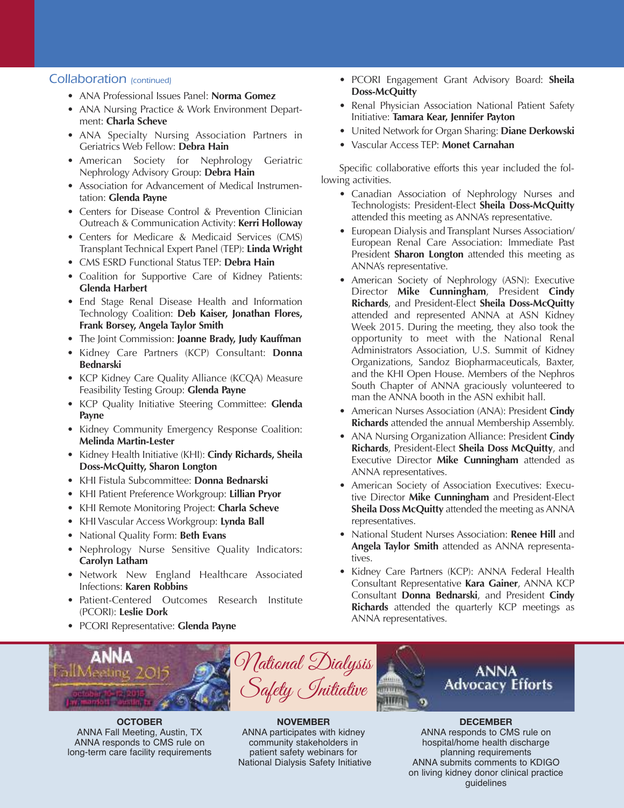#### *Collaboration (continued)*

- ANA Professional Issues Panel: **Norma Gomez**
- ANA Nursing Practice & Work Environment Department: **Charla Scheve**
- ANA Specialty Nursing Association Partners in Geriatrics Web Fellow: **Debra Hain**
- American Society for Nephrology Geriatric Nephrology Advisory Group: **Debra Hain**
- Association for Advancement of Medical Instrumentation: **Glenda Payne**
- Centers for Disease Control & Prevention Clinician Outreach & Communication Activity: **Kerri Holloway**
- Centers for Medicare & Medicaid Services (CMS) Transplant Technical Expert Panel (TEP): **Linda Wright**
- CMS ESRD Functional Status TEP: **Debra Hain**
- Coalition for Supportive Care of Kidney Patients: **Glenda Harbert**
- End Stage Renal Disease Health and Information Technology Coalition: **Deb Kaiser, Jonathan Flores, Frank Borsey, Angela Taylor Smith**
- The Joint Commission: **Joanne Brady, Judy Kauffman**
- Kidney Care Partners (KCP) Consultant: **Donna Bednarski**
- KCP Kidney Care Quality Alliance (KCQA) Measure Feasibility Testing Group: **Glenda Payne**
- KCP Quality Initiative Steering Committee: **Glenda Payne**
- Kidney Community Emergency Response Coalition: **Melinda Martin-Lester**
- Kidney Health Initiative (KHI): **Cindy Richards, Sheila Doss-McQuitty, Sharon Longton**
- KHI Fistula Subcommittee: **Donna Bednarski**
- KHI Patient Preference Workgroup: **Lillian Pryor**
- KHI Remote Monitoring Project: **Charla Scheve**
- KHI Vascular Access Workgroup: **Lynda Ball**
- National Quality Form: **Beth Evans**
- Nephrology Nurse Sensitive Quality Indicators: **Carolyn Latham**
- Network New England Healthcare Associated Infections: **Karen Robbins**
- Patient-Centered Outcomes Research Institute (PCORI): **Leslie Dork**
- PCORI Representative: **Glenda Payne**
- PCORI Engagement Grant Advisory Board: **Sheila Doss-McQuitty**
- Renal Physician Association National Patient Safety Initiative: **Tamara Kear, Jennifer Payton**
- United Network for Organ Sharing: **Diane Derkowski**
- Vascular Access TEP: **Monet Carnahan**

Specific collaborative efforts this year included the following activities.

- Canadian Association of Nephrology Nurses and Technologists: President-Elect **Sheila Doss-McQuitty** attended this meeting as ANNA's representative.
- European Dialysis and Transplant Nurses Association/ European Renal Care Association: Immediate Past President **Sharon Longton** attended this meeting as ANNA's representative.
- American Society of Nephrology (ASN): Executive Director **Mike Cunningham**, President **Cindy Richards**, and President-Elect **Sheila Doss-McQuitty** attended and represented ANNA at ASN Kidney Week 2015. During the meeting, they also took the opportunity to meet with the National Renal Administrators Association, U.S. Summit of Kidney Organizations, Sandoz Biopharmaceuticals, Baxter, and the KHI Open House. Members of the Nephros South Chapter of ANNA graciously volunteered to man the ANNA booth in the ASN exhibit hall.
- American Nurses Association (ANA): President **Cindy Richards** attended the annual Membership Assembly.
- ANA Nursing Organization Alliance: President **Cindy Richards**, President-Elect **Sheila Doss McQuitty**, and Executive Director **Mike Cunningham** attended as ANNA representatives.
- American Society of Association Executives: Executive Director **Mike Cunningham** and President-Elect **Sheila Doss McQuitty** attended the meeting as ANNA representatives.
- National Student Nurses Association: **Renee Hill** and **Angela Taylor Smith** attended as ANNA representatives.
- Kidney Care Partners (KCP): ANNA Federal Health Consultant Representative **Kara Gainer**, ANNA KCP Consultant **Donna Bednarski**, and President **Cindy Richards** attended the quarterly KCP meetings as ANNA representatives.



**october** ANNA Fall Meeting, Austin, TX ANNA responds to CMS rule on long-term care facility requirements

**noveMber** ANNA participates with kidney community stakeholders in patient safety webinars for National Dialysis Safety Initiative

ANNA responds to CMS rule on hospital/home health discharge planning requirements ANNA submits comments to KDIGO on living kidney donor clinical practice guidelines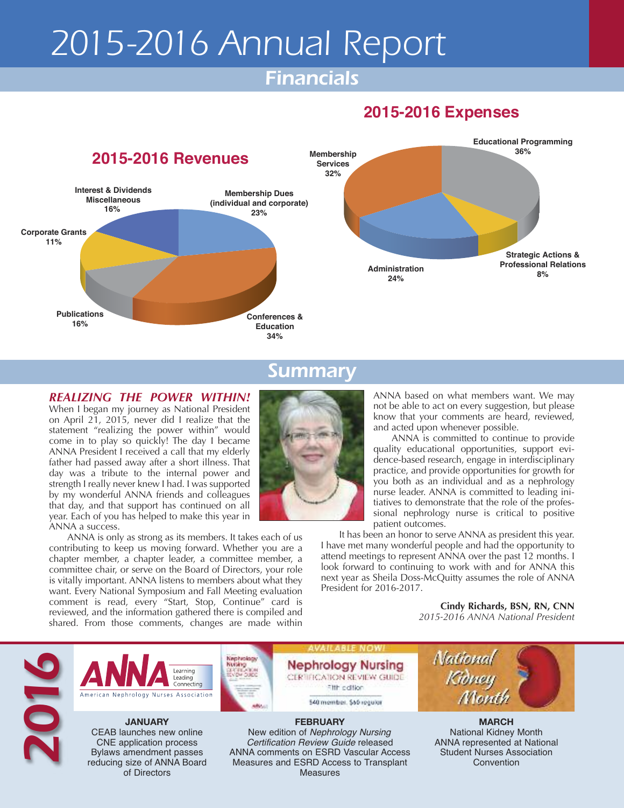### *Financials*

#### **2015-2016 Expenses**



#### *Summary*

#### *REALIZING THE POWER WITHIN!* When I began my journey as National President

on April 21, 2015, never did I realize that the statement "realizing the power within" would come in to play so quickly! The day I became ANNA President I received a call that my elderly father had passed away after a short illness. That day was a tribute to the internal power and strength I really never knew I had. I was supported by my wonderful ANNA friends and colleagues that day, and that support has continued on all year. Each of you has helped to make this year in ANNA a success.

> reducing size of ANNA Board of Directors

ANNA is only as strong as its members. It takes each of us contributing to keep us moving forward. Whether you are a chapter member, a chapter leader, a committee member, a committee chair, or serve on the Board of Directors, your role is vitally important. ANNA listens to members about what they want. Every National Symposium and Fall Meeting evaluation comment is read, every "Start, Stop, Continue" card is reviewed, and the information gathered there is compiled and



ANNA based on what members want. We may not be able to act on every suggestion, but please know that your comments are heard, reviewed, and acted upon whenever possible.

ANNA is committed to continue to provide quality educational opportunities, support evidence-based research, engage in interdisciplinary practice, and provide opportunities for growth for you both as an individual and as a nephrology nurse leader. ANNA is committed to leading initiatives to demonstrate that the role of the professional nephrology nurse is critical to positive patient outcomes.

It has been an honor to serve ANNA as president this year. I have met many wonderful people and had the opportunity to attend meetings to represent ANNA over the past 12 months. I look forward to continuing to work with and for ANNA this next year as Sheila Doss-McQuitty assumes the role of ANNA President for 2016-2017.

> **Cindy Richards, BSN, RN, CNN** *2015-2016 ANNA National President*

> > Convention



Measures and ESRD Access to Transplant Measures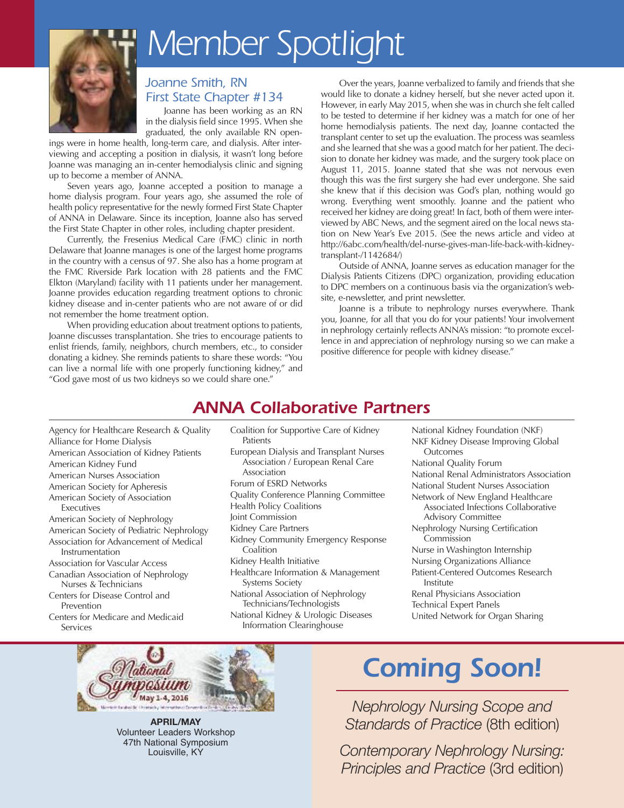

# *Member Spotlight*

#### *Joanne Smith, RN First State Chapter #134*

Joanne has been working as an RN in the dialysis field since 1995. When she graduated, the only available RN open-

ings were in home health, long-term care, and dialysis. After interviewing and accepting a position in dialysis, it wasn't long before Joanne was managing an in-center hemodialysis clinic and signing up to become a member of ANNA.

Seven years ago, Joanne accepted a position to manage a home dialysis program. Four years ago, she assumed the role of health policy representative for the newly formed First State Chapter of ANNA in Delaware. Since its inception, Joanne also has served the First State Chapter in other roles, including chapter president.

Currently, the Fresenius Medical Care (FMC) clinic in north Delaware that Joanne manages is one of the largest home programs in the country with a census of 97. She also has a home program at the FMC Riverside Park location with 28 patients and the FMC Elkton (Maryland) facility with 11 patients under her management. Joanne provides education regarding treatment options to chronic kidney disease and in-center patients who are not aware of or did not remember the home treatment option.

When providing education about treatment options to patients, Joanne discusses transplantation. She tries to encourage patients to enlist friends, family, neighbors, church members, etc., to consider donating a kidney. She reminds patients to share these words: "You can live a normal life with one properly functioning kidney," and "God gave most of us two kidneys so we could share one."

Over the years, Joanne verbalized to family and friends that she would like to donate a kidney herself, but she never acted upon it. However, in early May 2015, when she was in church she felt called to be tested to determine if her kidney was a match for one of her home hemodialysis patients. The next day, Joanne contacted the transplant center to set up the evaluation. The process was seamless and she learned that she was a good match for her patient.The decision to donate her kidney was made, and the surgery took place on August 11, 2015. Joanne stated that she was not nervous even though this was the first surgery she had ever undergone. She said she knew that if this decision was God's plan, nothing would go wrong. Everything went smoothly. Joanne and the patient who received her kidney are doing great! In fact, both of them were interviewed by ABC News, and the segment aired on the local news station on New Year's Eve 2015. (See the news article and video at http://6abc.com/health/del-nurse-gives-man-life-back-with-kidneytransplant-/1142684/)

Outside of ANNA, Joanne serves as education manager for the Dialysis Patients Citizens (DPC) organization, providing education to DPC members on a continuous basis via the organization's website, e-newsletter, and print newsletter.

Joanne is a tribute to nephrology nurses everywhere. Thank you, Joanne, for all that you do for your patients! Your involvement in nephrology certainly reflects ANNA's mission: "to promote excellence in and appreciation of nephrology nursing so we can make a positive difference for people with kidney disease."

### *ANNA Collaborative Partners*

- Agency for Healthcare Research & Quality Alliance for Home Dialysis American Association of Kidney Patients American Kidney Fund American Nurses Association
- American Society for Apheresis
- American Society of Association Executives
- American Society of Nephrology American Society of Pediatric Nephrology
- Association for Advancement of Medical Instrumentation
- Association for Vascular Access
- Canadian Association of Nephrology Nurses & Technicians
- Centers for Disease Control and Prevention
- Centers for Medicare and Medicaid Services
- Coalition for Supportive Care of Kidney Patients
- European Dialysis and Transplant Nurses Association / European Renal Care Association
- Forum of ESRD Networks
- Quality Conference Planning Committee
- Health Policy Coalitions
- Joint Commission
- Kidney Care Partners
- Kidney Community Emergency Response Coalition
- Kidney Health Initiative
- Healthcare Information & Management Systems Society
- National Association of Nephrology Technicians/Technologists

National Kidney & Urologic Diseases Information Clearinghouse

National Kidney Foundation (NKF) NKF Kidney Disease Improving Global **Outcomes** National Quality Forum National Renal Administrators Association National Student Nurses Association Network of New England Healthcare Associated Infections Collaborative Advisory Committee Nephrology Nursing Certification Commission Nurse in Washington Internship Nursing Organizations Alliance Patient-Centered Outcomes Research Institute Renal Physicians Association Technical Expert Panels United Network for Organ Sharing



**april/May** Volunteer Leaders Workshop 47th National Symposium Louisville, KY

# *Coming Soon!*

*Nephrology Nursing Scope and Standards of Practice* (8th edition)

*Contemporary Nephrology Nursing: Principles and Practice* (3rd edition)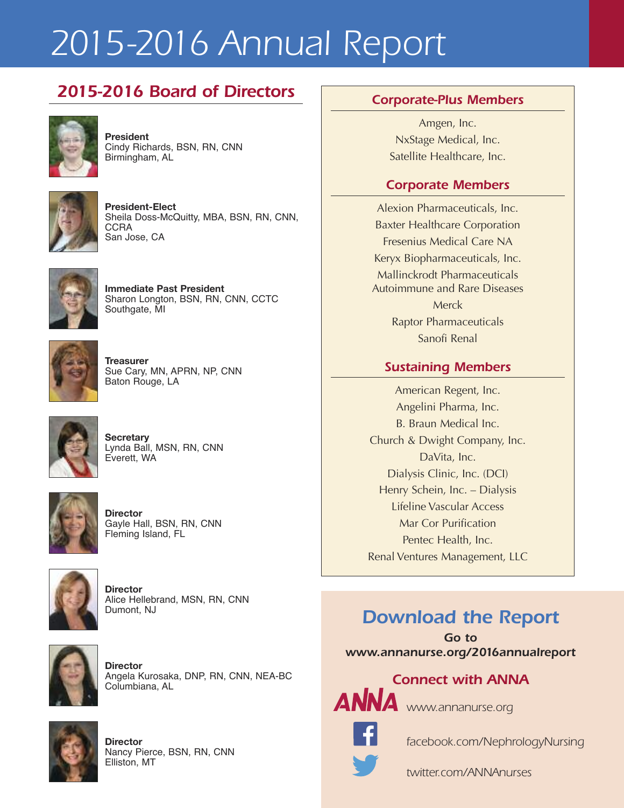### *2015-2016 Board of Directors Corporate-Plus Members*



**president** Cindy Richards, BSN, RN, CNN Birmingham, AL



**President-Elect** Sheila Doss-McQuitty, MBA, BSN, RN, CNN, **CCRA** San Jose, CA



**immediate past president** Sharon Longton, BSN, RN, CNN, CCTC Southgate, MI



**treasurer** Sue Cary, MN, APRN, NP, CNN Baton Rouge, LA



**Secretary** Lynda Ball, MSN, RN, CNN Everett, WA



**Director** Gayle Hall, BSN, RN, CNN Fleming Island, FL



**Director** Alice Hellebrand, MSN, RN, CNN Dumont, NJ



**Director** Angela Kurosaka, DNP, RN, CNN, NEA-BC Columbiana, AL



**Director** Nancy Pierce, BSN, RN, CNN Elliston, MT

Amgen, Inc. NxStage Medical, Inc. Satellite Healthcare, Inc.

#### *Corporate Members*

Alexion Pharmaceuticals, Inc. Baxter Healthcare Corporation Fresenius Medical Care NA Keryx Biopharmaceuticals, Inc. Mallinckrodt Pharmaceuticals Autoimmune and Rare Diseases **Merck** Raptor Pharmaceuticals Sanofi Renal

#### *Sustaining Members*

American Regent, Inc. Angelini Pharma, Inc. B. Braun Medical Inc. Church & Dwight Company, Inc. DaVita, Inc. Dialysis Clinic, Inc. (DCI) Henry Schein, Inc. – Dialysis Lifeline Vascular Access Mar Cor Purification Pentec Health, Inc. Renal Ventures Management, LLC

### *Download the Report*

*Go to www.annanurse.org/2016annualreport*

# *Connect with ANNA*



*www.annanurse.org*



*facebook.com/NephrologyNursing*

*twitter.com/ANNAnurses*